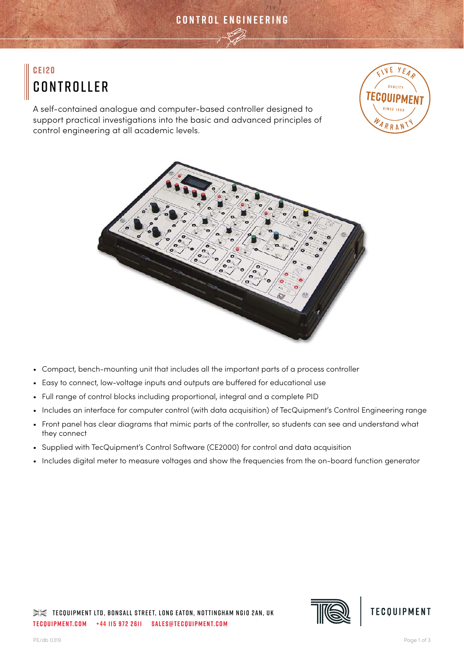# **CE120 CONTROLLER**

A self-contained analogue and computer-based controller designed to support practical investigations into the basic and advanced principles of control engineering at all academic levels.





- Compact, bench-mounting unit that includes all the important parts of a process controller
- Easy to connect, low-voltage inputs and outputs are buffered for educational use
- Full range of control blocks including proportional, integral and a complete PID
- Includes an interface for computer control (with data acquisition) of TecQuipment's Control Engineering range
- Front panel has clear diagrams that mimic parts of the controller, so students can see and understand what they connect
- Supplied with TecQuipment's Control Software (CE2000) for control and data acquisition
- Includes digital meter to measure voltages and show the frequencies from the on-board function generator

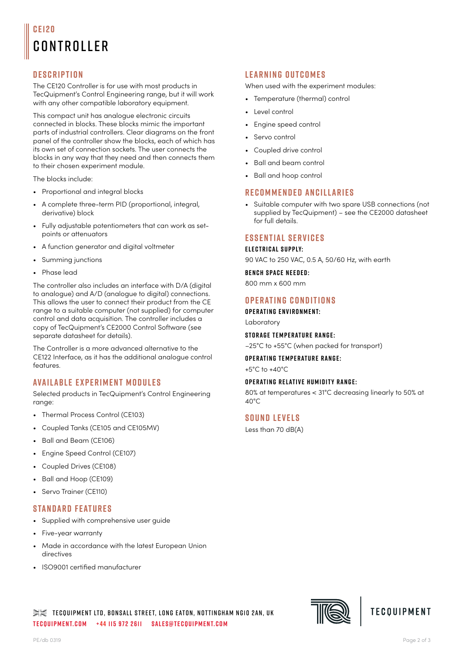# **CE120** controller

# **Description**

The CE120 Controller is for use with most products in TecQuipment's Control Engineering range, but it will work with any other compatible laboratory equipment.

This compact unit has analogue electronic circuits connected in blocks. These blocks mimic the important parts of industrial controllers. Clear diagrams on the front panel of the controller show the blocks, each of which has its own set of connection sockets. The user connects the blocks in any way that they need and then connects them to their chosen experiment module.

The blocks include:

- Proportional and integral blocks
- A complete three-term PID (proportional, integral, derivative) block
- Fully adjustable potentiometers that can work as setpoints or attenuators
- A function generator and digital voltmeter
- Summing junctions
- Phase lead

The controller also includes an interface with D/A (digital to analogue) and A/D (analogue to digital) connections. This allows the user to connect their product from the CE range to a suitable computer (not supplied) for computer control and data acquisition. The controller includes a copy of TecQuipment's CE2000 Control Software (see separate datasheet for details).

The Controller is a more advanced alternative to the CE122 Interface, as it has the additional analogue control features.

# **Available Experiment Modules**

Selected products in TecQuipment's Control Engineering range:

- Thermal Process Control (CE103)
- Coupled Tanks (CE105 and CE105MV)
- Ball and Beam (CE106)
- Engine Speed Control (CE107)
- Coupled Drives (CE108)
- Ball and Hoop (CE109)
- Servo Trainer (CE110)

## **Standard Features**

- Supplied with comprehensive user guide
- Five-year warranty
- Made in accordance with the latest European Union directives
- ISO9001 certified manufacturer

# **Learning Outcomes**

When used with the experiment modules:

- Temperature (thermal) control
- Level control
- Engine speed control
- Servo control
- Coupled drive control
- Ball and beam control
- Ball and hoop control

## **Recommended Ancillaries**

• Suitable computer with two spare USB connections (not supplied by TecQuipment) – see the CE2000 datasheet for full details.

## **Essential Services**

### **Electrical supply:**

90 VAC to 250 VAC, 0.5 A, 50/60 Hz, with earth

**BENCH SPACE NEEDED:** 

800 mm x 600 mm

# **Operating Conditions**

**OPERATING ENVIRONMENT:** 

Laboratory

## **STORAGE TEMPERATURE RANGE:**

–25°C to +55°C (when packed for transport)

### **Operating temperature range:**

+5°C to +40°C

### **OPERATING RELATIVE HUMIDITY RANGE:**

80% at temperatures < 31°C decreasing linearly to 50% at 40°C

## **Sound Levels**

Less than 70 dB(A)